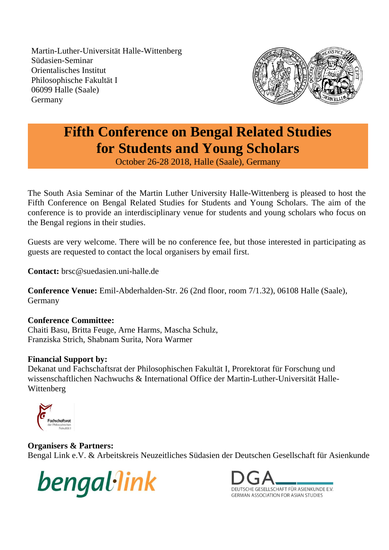Martin-Luther-Universität Halle-Wittenberg Südasien-Seminar Orientalisches Institut Philosophische Fakultät I 06099 Halle (Saale) Germany



# **Fifth Conference on Bengal Related Studies for Students and Young Scholars**

October 26-28 2018, Halle (Saale), Germany

The South Asia Seminar of the Martin Luther University Halle-Wittenberg is pleased to host the Fifth Conference on Bengal Related Studies for Students and Young Scholars. The aim of the conference is to provide an interdisciplinary venue for students and young scholars who focus on the Bengal regions in their studies.

Guests are very welcome. There will be no conference fee, but those interested in participating as guests are requested to contact the local organisers by email first.

**Contact:** brsc@suedasien.uni-halle.de

**Conference Venue:** Emil-Abderhalden-Str. 26 (2nd floor, room 7/1.32), 06108 Halle (Saale), Germany

### **Conference Committee:**

Chaiti Basu, Britta Feuge, Arne Harms, Mascha Schulz, Franziska Strich, Shabnam Surita, Nora Warmer

## **Financial Support by:**

Dekanat und Fachschaftsrat der Philosophischen Fakultät I, Prorektorat für Forschung und wissenschaftlichen Nachwuchs & International Office der Martin-Luther-Universität Halle-Wittenberg



## **Organisers & Partners:**

Bengal Link e.V. & Arbeitskreis Neuzeitliches Südasien der Deutschen Gesellschaft für Asienkunde



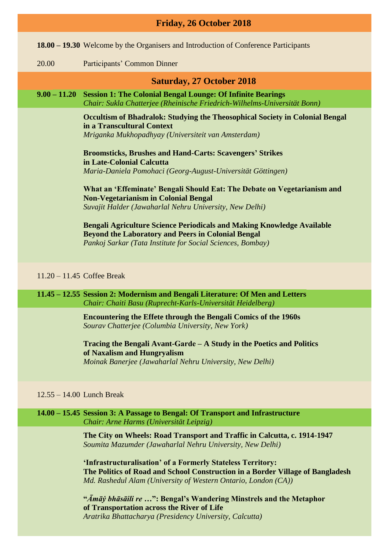| Friday, 26 October 2018 |                |                                                                                                                                                                                                          |  |  |
|-------------------------|----------------|----------------------------------------------------------------------------------------------------------------------------------------------------------------------------------------------------------|--|--|
|                         |                | <b>18.00 – 19.30</b> Welcome by the Organisers and Introduction of Conference Participants                                                                                                               |  |  |
|                         | 20.00          | Participants' Common Dinner                                                                                                                                                                              |  |  |
|                         |                | <b>Saturday, 27 October 2018</b>                                                                                                                                                                         |  |  |
|                         | $9.00 - 11.20$ | <b>Session 1: The Colonial Bengal Lounge: Of Infinite Bearings</b><br>Chair: Sukla Chatterjee (Rheinische Friedrich-Wilhelms-Universität Bonn)                                                           |  |  |
|                         |                | <b>Occultism of Bhadralok: Studying the Theosophical Society in Colonial Bengal</b><br>in a Transcultural Context<br>Mriganka Mukhopadhyay (Universiteit van Amsterdam)                                  |  |  |
|                         |                | <b>Broomsticks, Brushes and Hand-Carts: Scavengers' Strikes</b><br>in Late-Colonial Calcutta<br>Maria-Daniela Pomohaci (Georg-August-Universität Göttingen)                                              |  |  |
|                         |                | What an 'Effeminate' Bengali Should Eat: The Debate on Vegetarianism and<br><b>Non-Vegetarianism in Colonial Bengal</b><br>Suvajit Halder (Jawaharlal Nehru University, New Delhi)                       |  |  |
|                         |                | <b>Bengali Agriculture Science Periodicals and Making Knowledge Available</b><br><b>Beyond the Laboratory and Peers in Colonial Bengal</b><br>Pankoj Sarkar (Tata Institute for Social Sciences, Bombay) |  |  |
|                         |                | $11.20 - 11.45$ Coffee Break                                                                                                                                                                             |  |  |
|                         |                | 11.45 - 12.55 Session 2: Modernism and Bengali Literature: Of Men and Letters                                                                                                                            |  |  |

*Chair: Chaiti Basu (Ruprecht-Karls-Universität Heidelberg)*

**Encountering the Effete through the Bengali Comics of the 1960s** *Sourav Chatterjee (Columbia University, New York)*

**Tracing the Bengali Avant-Garde ‒ A Study in the Poetics and Politics of Naxalism and Hungryalism** *Moinak Banerjee (Jawaharlal Nehru University, New Delhi)*

#### 12.55 – 14.00 Lunch Break

#### **14.00 – 15.45 Session 3: A Passage to Bengal: Of Transport and Infrastructure** *Chair: Arne Harms (Universität Leipzig)*

**The City on Wheels: Road Transport and Traffic in Calcutta, c. 1914-1947** *Soumita Mazumder (Jawaharlal Nehru University, New Delhi)*

**'Infrastructuralisation' of a Formerly Stateless Territory: The Politics of Road and School Construction in a Border Village of Bangladesh** *Md. Rashedul Alam (University of Western Ontario, London (CA))*

**"***Āmāẏ bhāsāili re* **…": Bengal's Wandering Minstrels and the Metaphor of Transportation across the River of Life** *Aratrika Bhattacharya (Presidency University, Calcutta)*